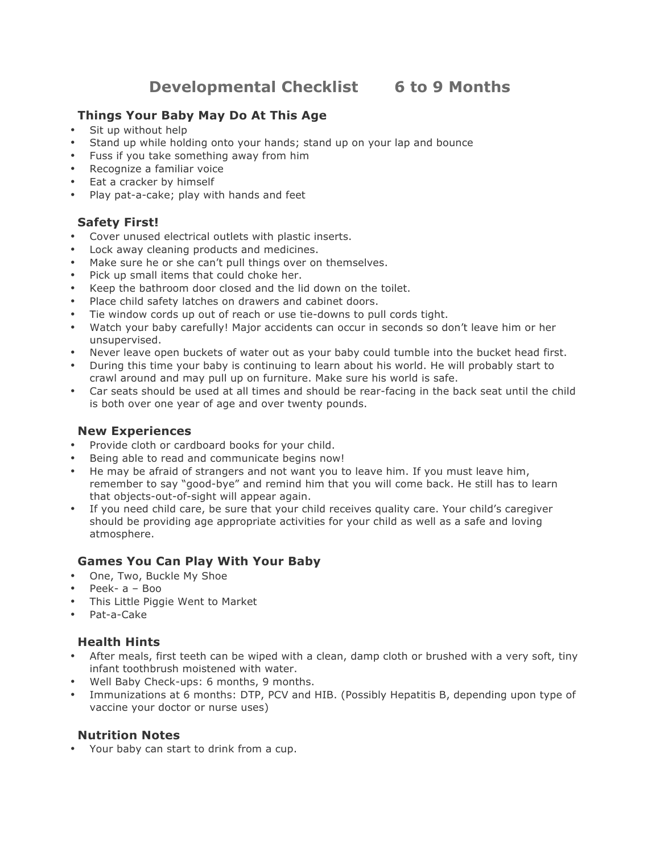**Developmental Checklist 6 to 9 Months**

# **Things Your Baby May Do At This Age**

- Sit up without help
- Stand up while holding onto your hands; stand up on your lap and bounce
- Fuss if you take something away from him
- Recognize a familiar voice
- Eat a cracker by himself
- Play pat-a-cake; play with hands and feet

## **Safety First!**

- Cover unused electrical outlets with plastic inserts.
- Lock away cleaning products and medicines.
- Make sure he or she can't pull things over on themselves.
- Pick up small items that could choke her.
- Keep the bathroom door closed and the lid down on the toilet.
- Place child safety latches on drawers and cabinet doors.
- Tie window cords up out of reach or use tie-downs to pull cords tight.
- Watch your baby carefully! Major accidents can occur in seconds so don't leave him or her unsupervised.
- Never leave open buckets of water out as your baby could tumble into the bucket head first.
- During this time your baby is continuing to learn about his world. He will probably start to crawl around and may pull up on furniture. Make sure his world is safe.
- Car seats should be used at all times and should be rear-facing in the back seat until the child is both over one year of age and over twenty pounds.

### **New Experiences**

- Provide cloth or cardboard books for your child.
- Being able to read and communicate begins now!
- He may be afraid of strangers and not want you to leave him. If you must leave him, remember to say "good-bye" and remind him that you will come back. He still has to learn that objects-out-of-sight will appear again.
- If you need child care, be sure that your child receives quality care. Your child's caregiver should be providing age appropriate activities for your child as well as a safe and loving atmosphere.

### **Games You Can Play With Your Baby**

- One, Two, Buckle My Shoe
- Peek- a Boo
- This Little Piggie Went to Market
- Pat-a-Cake

### **Health Hints**

- After meals, first teeth can be wiped with a clean, damp cloth or brushed with a very soft, tiny infant toothbrush moistened with water.
- Well Baby Check-ups: 6 months, 9 months.
- Immunizations at 6 months: DTP, PCV and HIB. (Possibly Hepatitis B, depending upon type of vaccine your doctor or nurse uses)

### **Nutrition Notes**

• Your baby can start to drink from a cup.